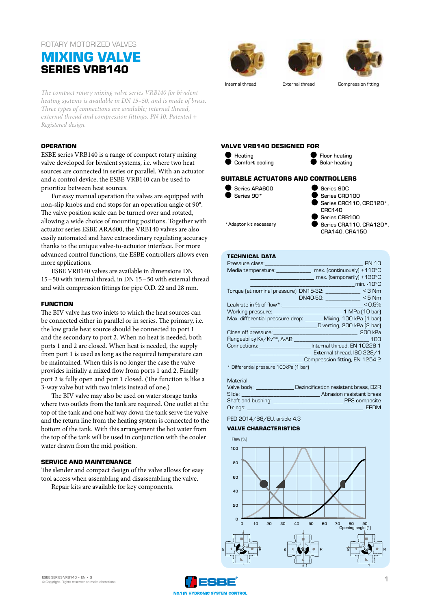# ROTARY MOTORIZED VALVES

# **MIXING VALVE SERIES VRB140**

*The compact rotary mixing valve series VRB140 for bivalent heating systems is available in DN 15–50, and is made of brass. Three types of connections are available; internal thread, external thread and compression fittings. PN 10. Patented + Registered design.* 

### **OPERATION**

ESBE series VRB140 is a range of compact rotary mixing valve developed for bivalent systems, i.e. where two heat sources are connected in series or parallel. With an actuator and a control device, the ESBE VRB140 can be used to prioritize between heat sources.

For easy manual operation the valves are equipped with non-slip knobs and end stops for an operation angle of 90°. The valve position scale can be turned over and rotated, allowing a wide choice of mounting positions. Together with actuator series ESBE ARA600, the VRB140 valves are also easily automated and have extraordinary regulating accuracy thanks to the unique valve-to-actuator interface. For more advanced control functions, the ESBE controllers allows even more applications.

ESBE VRB140 valves are available in dimensions DN 15–50 with internal thread, in DN 15–50 with external thread and with compression fittings for pipe O.D. 22 and 28 mm.

### **FUNCTION**

The BIV valve has two inlets to which the heat sources can be connected either in parallel or in series. The primary, i.e. the low grade heat source should be connected to port 1 and the secondary to port 2. When no heat is needed, both ports 1 and 2 are closed. When heat is needed, the supply from port 1 is used as long as the required temperature can be maintained. When this is no longer the case the valve provides initially a mixed flow from ports 1 and 2. Finally port 2 is fully open and port 1 closed. (The function is like a 3-way valve but with two inlets instead of one.)

The BIV valve may also be used on water storage tanks where two outlets from the tank are required. One outlet at the top of the tank and one half way down the tank serve the valve and the return line from the heating system is connected to the bottom of the tank. With this arrangement the hot water from the top of the tank will be used in conjunction with the cooler water drawn from the mid position.

### **SERVICE AND MAINTENANCE**

The slender and compact design of the valve allows for easy tool access when assembling and disassembling the valve. Repair kits are available for key components.







Internal thread External thread Compression fitting

### **VALVE VRB140 DESIGNED FOR**



## **SUITABLE ACTUATORS AND CONTROLLERS**

Series ARA600  $\bullet$  Series 90\* Series 90C Series CRD100 CRC140

\*Adaptor kit necessary

Series CRC110, CRC120\*, Series CRB100 Series CRA110, CRA120\*, CRA140, CRA150

## **TECHNICAL DATA**

| <b>PN 10</b><br>Pressure class:                                                                                                                                                                                                                  |
|--------------------------------------------------------------------------------------------------------------------------------------------------------------------------------------------------------------------------------------------------|
| max. (continuously) +110°C<br>Media temperature: and a state of the state of the state of the state of the state of the state of the state o                                                                                                     |
| max. (temporarily) +130°C                                                                                                                                                                                                                        |
| $min. -10°C$                                                                                                                                                                                                                                     |
| Torque (at nominal pressure) DN15-32: ________________ < 3 Nm                                                                                                                                                                                    |
| $DN40-50:$ $<$ 5 Nm                                                                                                                                                                                                                              |
| Leakrate in $\%$ of flow $^*$ : the set of the set of the set of the set of the set of the set of the set of the set of the set of the set of the set of the set of the set of the set of the set of the set of the set of the<br>< 0.5%         |
| Working pressure: University of the University of the University of the University of the University of the University of the University of the University of the University of the University of the University of the Univer<br>1 MPa (10 bar) |
| Max. differential pressure drop: Mixing, 100 kPa [1 bar]                                                                                                                                                                                         |
| Diverting, 200 kPa (2 bar)                                                                                                                                                                                                                       |
| <u>200 kPa 200 kPa 200 kPa 200 kPa 3</u><br>Close off pressure:                                                                                                                                                                                  |
| Rangeability Kv/Kvmin, A-AB:<br>100                                                                                                                                                                                                              |
| Connections: Connections: Connections: Connections: Connections:                                                                                                                                                                                 |
| External thread, ISO 228/1                                                                                                                                                                                                                       |
| Compression fitting, EN 1254-2                                                                                                                                                                                                                   |
| * Differential pressure 100kPa [1 bar]                                                                                                                                                                                                           |

#### Material

| Valve body:        | Dezincification resistant brass, DZR |
|--------------------|--------------------------------------|
| Slide:             | Abrasion resistant brass             |
| Shaft and bushing: | PPS composite                        |
| O-rings:           | <b>EPDM</b>                          |

# PED 2014/68/EU, article 4.3

## **VALVE CHARACTERISTICS**



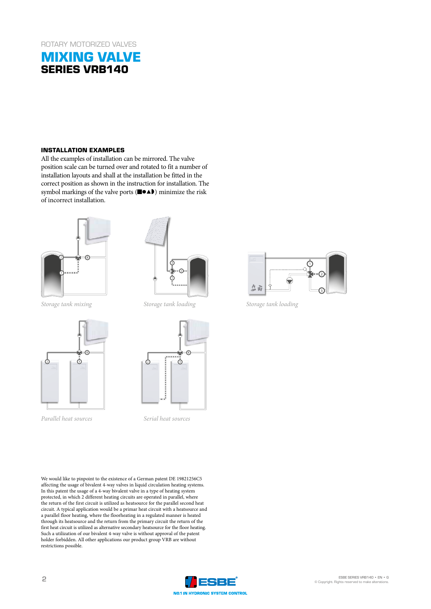# **MIXING VALVE SERIES VRB140**

### **INSTALLATION EXAMPLES**

All the examples of installation can be mirrored. The valve position scale can be turned over and rotated to fit a number of installation layouts and shall at the installation be fitted in the correct position as shown in the instruction for installation. The symbol markings of the valve ports (■●▲) minimize the risk of incorrect installation.





*Storage tank mixing*



*Parallel heat sources*





*Serial heat sources*

We would like to pinpoint to the existence of a German patent DE 19821256C5 affecting the usage of bivalent 4-way valves in liquid circulation heating systems. In this patent the usage of a 4-way bivalent valve in a type of heating system protected, in which 2 different heating circuits are operated in parallel, where the return of the first circuit is utilized as heatsource for the parallel second heat circuit. A typical application would be a primar heat circuit with a heatsource and a parallel floor heating, where the floorheating in a regulated manner is heated through its heatsource and the return from the primary circuit the return of the first heat circuit is utilized as alternative secondary heatsource for the floor heating. Such a utilization of our bivalent 4-way valve is without approval of the patent holder forbidden. All other applications our product group VRB are without restrictions possible.



*Storage tank loading*

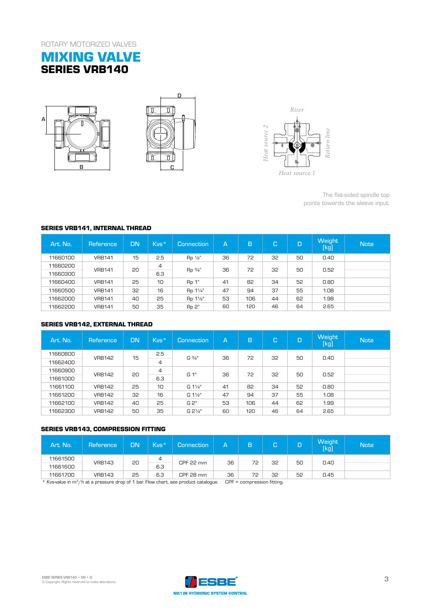# **MIXING VALVE SERIES VRB140**







# **SERIES VRB141, INTERNAL THREAD**

| Art. No. | Reference     | <b>DN</b> | Kvs* | <b>Connection</b> | А  | B   | C. | D  | <b>Weight</b><br>[kg] | <b>Note</b> |    |    |  |  |
|----------|---------------|-----------|------|-------------------|----|-----|----|----|-----------------------|-------------|----|----|--|--|
| 11660100 | <b>VRB141</b> | 15        | 2.5  | $Rp \frac{1}{2}$  | 36 | 72  | 32 | 50 | 0.40                  |             |    |    |  |  |
| 11660200 | <b>VRB141</b> |           |      |                   |    | 20  | 4  |    | 36                    | 72          | 32 | 50 |  |  |
| 11660300 |               |           | 6.3  | Rp 3/4"           |    |     |    |    | 0.52                  |             |    |    |  |  |
| 11660400 | <b>VRB141</b> | 25        | 10   | Rp 1"             | 41 | 82  | 34 | 52 | 0.80                  |             |    |    |  |  |
| 11660500 | <b>VRB141</b> | 32        | 16   | Rp 11/4"          | 47 | 94  | 37 | 55 | 1.08                  |             |    |    |  |  |
| 11662000 | <b>VRB141</b> | 40        | 25   | Rp 11/2"          | 53 | 106 | 44 | 62 | 1.98                  |             |    |    |  |  |
| 11662200 | <b>VRB141</b> | 50        | 35   | Rp 2"             | 60 | 120 | 46 | 64 | 2.65                  |             |    |    |  |  |

# **SERIES VRB142, EXTERNAL THREAD**

| B                                                 |               |           | C                     | Heat source 2<br>Return line<br>Heat source 1 |    |             |    |    |                |                                                                               |
|---------------------------------------------------|---------------|-----------|-----------------------|-----------------------------------------------|----|-------------|----|----|----------------|-------------------------------------------------------------------------------|
| <b>SERIES VRB141, INTERNAL THREAD</b><br>Art. No. | Reference     | <b>DN</b> | Kvs*                  | <b>Connection</b>                             | А  | $\mathbf B$ | C. | D  | Weight<br>[kg] | The flat-sided spindle top<br>points towards the sleeve input.<br><b>Note</b> |
| 11660100                                          | <b>VRB141</b> | 15        | 2.5                   | Rp 1/2"                                       | 36 | 72          | 35 | 50 | 0.40           |                                                                               |
| 11660200<br>11660300                              | <b>VRB141</b> | 20        | $\overline{4}$<br>6.3 | Rp 3/4"                                       | 36 | 72          | 32 | 50 | 0.52           |                                                                               |
| 11660400                                          | <b>VRB141</b> | 25        | 10                    | Rp 1"                                         | 41 | 82          | 34 | 52 | 0.80           |                                                                               |
| 11660500                                          | <b>VRB141</b> | 32        | 16                    | Rp 11/4"                                      | 47 | 94          | 37 | 55 | 1.08           |                                                                               |
| 11662000                                          | <b>VRB141</b> | 40        | 25                    | Rp 11/2"                                      | 53 | 106         | 44 | 62 | 1.98           |                                                                               |
| 11662200                                          | <b>VRB141</b> | 50        | 35                    | Rp 2"                                         | 60 | 120         | 46 | 64 | 2.65           |                                                                               |
| <b>SERIES VRB142, EXTERNAL THREAD</b><br>Art. No. | Reference     | <b>DN</b> | Kvs*                  | <b>Connection</b>                             | А  | B           | C. | D  | Weight<br>[kg] | <b>Note</b>                                                                   |
| 11660800<br>11662400                              | <b>VRB142</b> | 15        | 2.5<br>$\overline{4}$ | G 3/4"                                        | 36 | 72          | 32 | 50 | 0.40           |                                                                               |
| 11660900<br>11661000                              | <b>VRB142</b> | 20        | $\overline{a}$<br>6.3 | G 1"                                          | 36 | 72          | 32 | 50 | 0.52           |                                                                               |
| 11661100                                          | <b>VRB142</b> | 25        | 10                    | G 11/4"                                       | 41 | 82          | 34 | 52 | 0.80           |                                                                               |
| 11661200                                          | <b>VRB142</b> | 32        | 16                    | G 11/ <sub>2</sub> "                          | 47 | 94          | 37 | 55 | 1.08           |                                                                               |
| 11662100                                          | <b>VRB142</b> | 40        | 25                    | G 2"                                          | 53 | 106         | 44 | 62 | 1.99           |                                                                               |
| 11662300                                          | <b>VRB142</b> | 50        | 35                    | G 21/4"                                       | 60 | 120         | 46 | 64 | 2.65           |                                                                               |
| <b>SERIES VRB143, COMPRESSION FITTING</b>         |               |           |                       |                                               |    |             |    |    |                |                                                                               |
| Art. No.                                          | Reference     | <b>DN</b> | Kvs*                  | <b>Connection</b>                             | A  | B           | C. | D  | Weight<br>[kg] | <b>Note</b>                                                                   |
| 11661500<br>11661600                              | <b>VRB143</b> | 20        | 4<br>6.3              | <b>CPF 22 mm</b>                              | 36 | 72          | 32 | 50 | 0.40           |                                                                               |
| 11661700                                          |               |           |                       |                                               |    |             |    |    |                |                                                                               |

### **SERIES VRB143, COMPRESSION FITTING**

| Art. No. | Reference     | <b>DN</b> | Kvs* | Connection       | А         |    | C  | D  | Weight<br><b>Tkg</b> | $\mathsf{Note}^!$ |  |
|----------|---------------|-----------|------|------------------|-----------|----|----|----|----------------------|-------------------|--|
| 11661500 | <b>VRB143</b> |           |      | 4                | CPF 22 mm | 36 | 72 | 32 |                      |                   |  |
| 11661600 |               | 20        | 6.3  |                  |           |    |    | 50 | 0.40                 |                   |  |
| 11661700 | <b>VRB143</b> | 25        | 6.3  | <b>CPF 28 mm</b> | 36        | 72 | 32 | 52 | 0.45                 |                   |  |